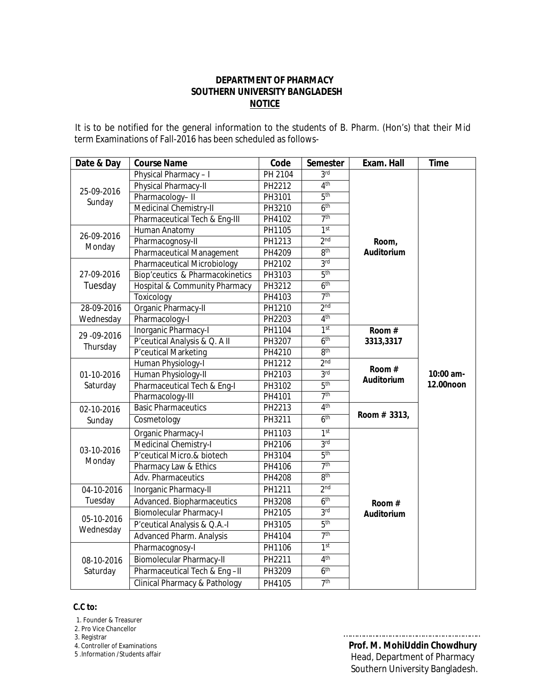## **DEPARTMENT OF PHARMACY SOUTHERN UNIVERSITY BANGLADESH NOTICE**

 It is to be notified for the general information to the students of B. Pharm. (Hon's) that their Mid term Examinations of Fall-2016 has been scheduled as follows-

| Date & Day              | <b>Course Name</b>                         | Code           | <b>Semester</b> | Exam. Hall                 | <b>Time</b>            |
|-------------------------|--------------------------------------------|----------------|-----------------|----------------------------|------------------------|
| 25-09-2016<br>Sunday    | Physical Pharmacy-I                        | <b>PH 2104</b> | 3 <sup>rd</sup> |                            |                        |
|                         | Physical Pharmacy-II                       | PH2212         | 4 <sup>th</sup> |                            |                        |
|                         | Pharmacology-II                            | PH3101         | 5 <sup>th</sup> |                            |                        |
|                         | Medicinal Chemistry-II                     | PH3210         | 6 <sup>th</sup> |                            |                        |
|                         | Pharmaceutical Tech & Eng-III              | PH4102         | 7 <sup>th</sup> |                            |                        |
| 26-09-2016<br>Monday    | Human Anatomy                              | PH1105         | 1 <sup>st</sup> |                            |                        |
|                         | Pharmacognosy-II                           | PH1213         | 2 <sub>nd</sub> | Room,                      |                        |
|                         | <b>Pharmaceutical Management</b>           | PH4209         | gth             | <b>Auditorium</b>          |                        |
| 27-09-2016              | <b>Pharmaceutical Microbiology</b>         | PH2102         | 3 <sub>rd</sub> |                            |                        |
|                         | <b>Biop'ceutics &amp; Pharmacokinetics</b> | PH3103         | 5 <sup>th</sup> |                            |                        |
| Tuesday                 | Hospital & Community Pharmacy              | PH3212         | 6 <sup>th</sup> |                            |                        |
|                         | Toxicology                                 | PH4103         | 7 <sup>th</sup> |                            |                        |
| 28-09-2016              | Organic Pharmacy-II                        | PH1210         | 2 <sub>nd</sub> |                            |                        |
| Wednesday               | Pharmacology-I                             | PH2203         | 4 <sup>th</sup> |                            |                        |
| 29 - 09 - 2016          | Inorganic Pharmacy-I                       | PH1104         | 1 <sup>st</sup> | Room#                      |                        |
| Thursday                | P'ceutical Analysis & Q. A II              | PH3207         | 6 <sup>th</sup> | 3313,3317                  | 10:00 am-<br>12.00noon |
|                         | P'ceutical Marketing                       | PH4210         | 8 <sup>th</sup> |                            |                        |
|                         | Human Physiology-I                         | PH1212         | 2 <sub>nd</sub> | Room#<br><b>Auditorium</b> |                        |
| 01-10-2016<br>Saturday  | Human Physiology-II                        | PH2103         | 3 <sup>rd</sup> |                            |                        |
|                         | Pharmaceutical Tech & Eng-I                | PH3102         | 5 <sup>th</sup> |                            |                        |
|                         | Pharmacology-III                           | PH4101         | 7 <sup>th</sup> |                            |                        |
| 02-10-2016              | <b>Basic Pharmaceutics</b>                 | PH2213         | 4 <sup>th</sup> | Room # 3313,               |                        |
| Sunday                  | Cosmetology                                | PH3211         | 6 <sup>th</sup> |                            |                        |
|                         | Organic Pharmacy-I                         | PH1103         | 1 <sup>st</sup> |                            |                        |
|                         | Medicinal Chemistry-I                      | PH2106         | 3 <sup>rd</sup> |                            |                        |
| 03-10-2016<br>Monday    | P'ceutical Micro.& biotech                 | PH3104         | 5 <sup>th</sup> |                            |                        |
|                         | Pharmacy Law & Ethics                      | PH4106         | 7 <sup>th</sup> |                            |                        |
|                         | Adv. Pharmaceutics                         | <b>PH4208</b>  | 8 <sup>th</sup> |                            |                        |
| 04-10-2016              | <b>Inorganic Pharmacy-II</b>               | PH1211         | 2 <sub>nd</sub> |                            |                        |
| Tuesday                 | Advanced. Biopharmaceutics                 | PH3208         | 6 <sup>th</sup> | Room#                      |                        |
| 05-10-2016<br>Wednesday | <b>Biomolecular Pharmacy-I</b>             | PH2105         | 3 <sup>rd</sup> | <b>Auditorium</b>          |                        |
|                         | P'ceutical Analysis & Q.A.-I               | PH3105         | 5 <sup>th</sup> |                            |                        |
|                         | Advanced Pharm. Analysis                   | PH4104         | 7 <sup>th</sup> |                            |                        |
| 08-10-2016<br>Saturday  | Pharmacognosy-I                            | PH1106         | 1 <sup>st</sup> |                            |                        |
|                         | Biomolecular Pharmacy-II                   | PH2211         | 4 <sup>th</sup> |                            |                        |
|                         | Pharmaceutical Tech & Eng-II               | PH3209         | 6 <sup>th</sup> |                            |                        |
|                         | <b>Clinical Pharmacy &amp; Pathology</b>   | PH4105         | 7 <sup>th</sup> |                            |                        |

#### **C.C to:**

1. Founder & Treasurer

2. Pro Vice Chancellor

3. Registrar

4. Controller of Examinations

5 .Information /Students affair

 **Prof. M. MohiUddin Chowdhury** Head, Department of Pharmacy Southern University Bangladesh.

……………………………………………………..